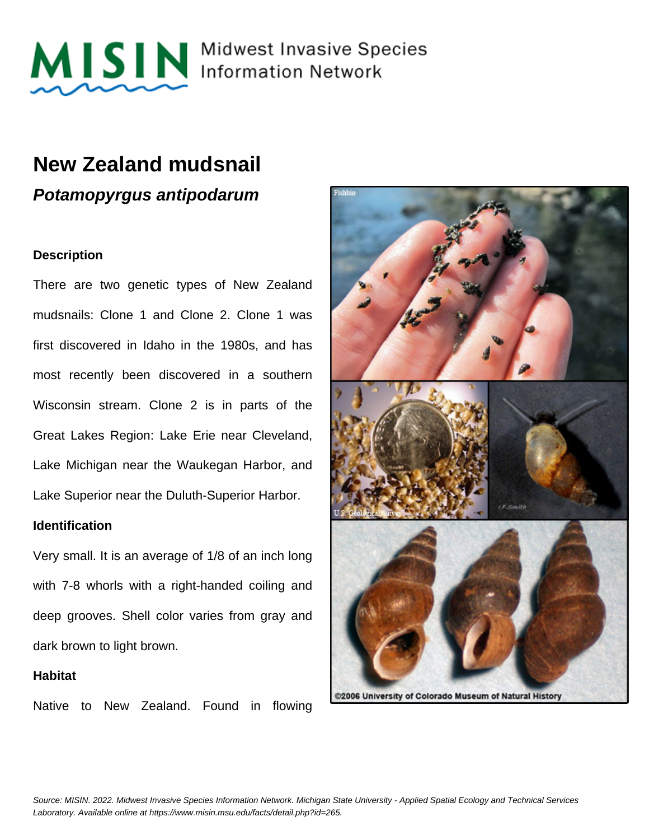

MISIN Midwest Invasive Species

### **New Zealand mudsnail**

**Potamopyrgus antipodarum**

#### **Description**

There are two genetic types of New Zealand mudsnails: Clone 1 and Clone 2. Clone 1 was first discovered in Idaho in the 1980s, and has most recently been discovered in a southern Wisconsin stream. Clone 2 is in parts of the Great Lakes Region: Lake Erie near Cleveland, Lake Michigan near the Waukegan Harbor, and Lake Superior near the Duluth-Superior Harbor.

#### **Identification**

Very small. It is an average of 1/8 of an inch long with 7-8 whorls with a right-handed coiling and deep grooves. Shell color varies from gray and dark brown to light brown.

#### **Habitat**

Native to New Zealand. Found in flowing

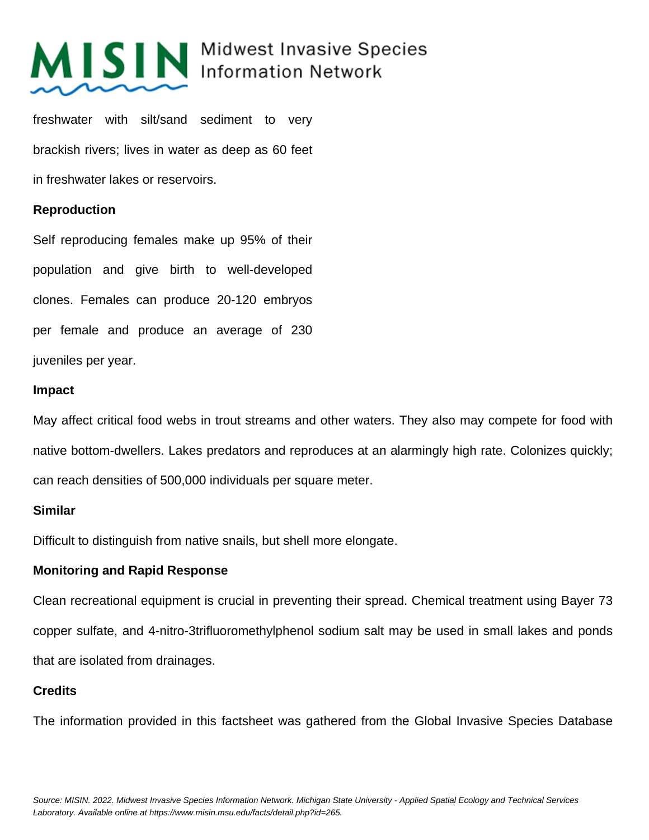# MISIN Midwest Invasive Species

freshwater with silt/sand sediment to very brackish rivers; lives in water as deep as 60 feet in freshwater lakes or reservoirs.

### **Reproduction**

Self reproducing females make up 95% of their population and give birth to well-developed clones. Females can produce 20-120 embryos per female and produce an average of 230 juveniles per year.

#### **Impact**

May affect critical food webs in trout streams and other waters. They also may compete for food with native bottom-dwellers. Lakes predators and reproduces at an alarmingly high rate. Colonizes quickly; can reach densities of 500,000 individuals per square meter.

#### **Similar**

Difficult to distinguish from native snails, but shell more elongate.

#### **Monitoring and Rapid Response**

Clean recreational equipment is crucial in preventing their spread. Chemical treatment using Bayer 73 copper sulfate, and 4-nitro-3trifluoromethylphenol sodium salt may be used in small lakes and ponds that are isolated from drainages.

#### **Credits**

The information provided in this factsheet was gathered from the Global Invasive Species Database